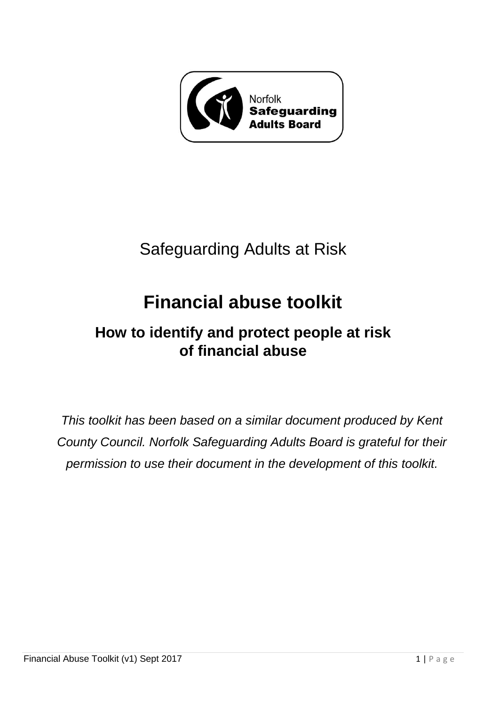

# Safeguarding Adults at Risk

# **Financial abuse toolkit**

## **How to identify and protect people at risk of financial abuse**

*This toolkit has been based on a similar document produced by Kent County Council. Norfolk Safeguarding Adults Board is grateful for their permission to use their document in the development of this toolkit.*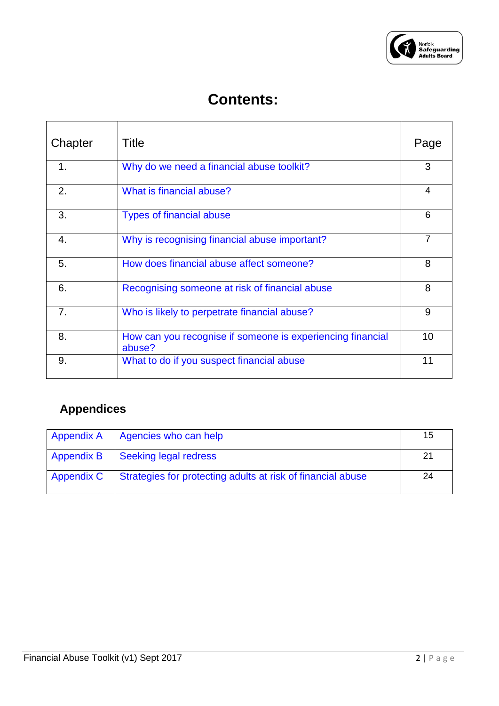

## **Contents:**

| Chapter | Title                                                                | Page           |
|---------|----------------------------------------------------------------------|----------------|
| 1.      | Why do we need a financial abuse toolkit?                            | 3              |
| 2.      | What is financial abuse?                                             | 4              |
| 3.      | <b>Types of financial abuse</b>                                      | 6              |
| 4.      | Why is recognising financial abuse important?                        | $\overline{7}$ |
| 5.      | How does financial abuse affect someone?                             | 8              |
| 6.      | Recognising someone at risk of financial abuse                       | 8              |
| 7.      | Who is likely to perpetrate financial abuse?                         | 9              |
| 8.      | How can you recognise if someone is experiencing financial<br>abuse? | 10             |
| 9.      | What to do if you suspect financial abuse                            | 11             |

## **Appendices**

| <b>Appendix A</b> | Agencies who can help                                       | 15 |
|-------------------|-------------------------------------------------------------|----|
| <b>Appendix B</b> | Seeking legal redress                                       | 21 |
| <b>Appendix C</b> | Strategies for protecting adults at risk of financial abuse | 24 |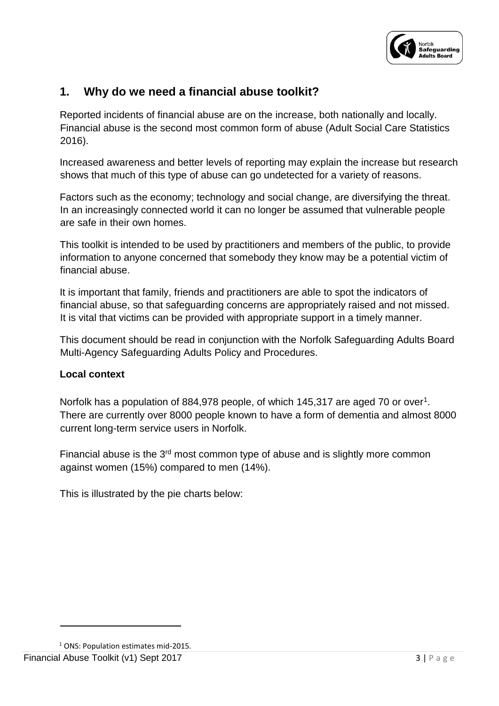

## **1. Why do we need a financial abuse toolkit?**

Reported incidents of financial abuse are on the increase, both nationally and locally. Financial abuse is the second most common form of abuse (Adult Social Care Statistics 2016).

Increased awareness and better levels of reporting may explain the increase but research shows that much of this type of abuse can go undetected for a variety of reasons.

Factors such as the economy; technology and social change, are diversifying the threat. In an increasingly connected world it can no longer be assumed that vulnerable people are safe in their own homes.

This toolkit is intended to be used by practitioners and members of the public, to provide information to anyone concerned that somebody they know may be a potential victim of financial abuse.

It is important that family, friends and practitioners are able to spot the indicators of financial abuse, so that safeguarding concerns are appropriately raised and not missed. It is vital that victims can be provided with appropriate support in a timely manner.

This document should be read in conjunction with the Norfolk Safeguarding Adults Board Multi-Agency Safeguarding Adults Policy and Procedures.

#### **Local context**

Norfolk has a population of 884,978 people, of which 145,317 are aged 70 or over<sup>1</sup>. There are currently over 8000 people known to have a form of dementia and almost 8000 current long-term service users in Norfolk.

Financial abuse is the 3<sup>rd</sup> most common type of abuse and is slightly more common against women (15%) compared to men (14%).

This is illustrated by the pie charts below:

1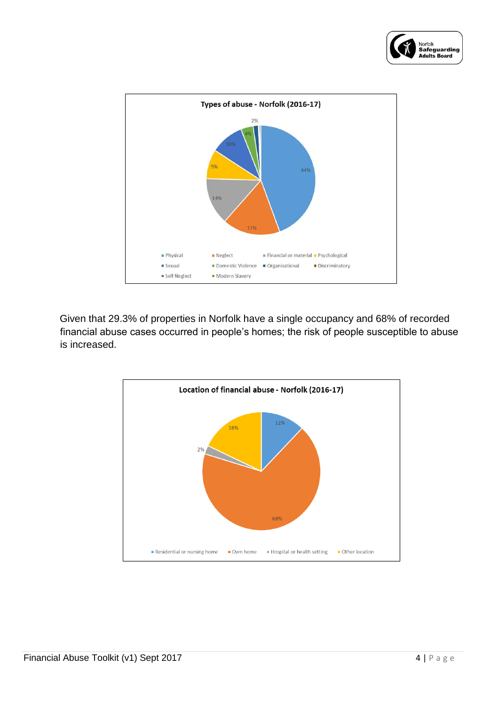



Given that 29.3% of properties in Norfolk have a single occupancy and 68% of recorded financial abuse cases occurred in people's homes; the risk of people susceptible to abuse is increased.

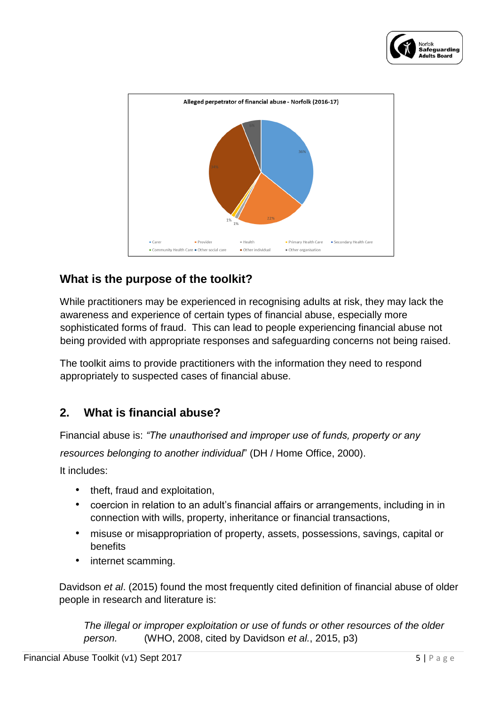



## **What is the purpose of the toolkit?**

While practitioners may be experienced in recognising adults at risk, they may lack the awareness and experience of certain types of financial abuse, especially more sophisticated forms of fraud. This can lead to people experiencing financial abuse not being provided with appropriate responses and safeguarding concerns not being raised.

The toolkit aims to provide practitioners with the information they need to respond appropriately to suspected cases of financial abuse.

## **2. What is financial abuse?**

Financial abuse is: *"The unauthorised and improper use of funds, property or any resources belonging to another individual*" (DH / Home Office, 2000).

It includes:

- theft, fraud and exploitation,
- coercion in relation to an adult's financial affairs or arrangements, including in in connection with wills, property, inheritance or financial transactions,
- misuse or misappropriation of property, assets, possessions, savings, capital or benefits
- internet scamming.

Davidson *et al*. (2015) found the most frequently cited definition of financial abuse of older people in research and literature is:

*The illegal or improper exploitation or use of funds or other resources of the older person.* (WHO, 2008, cited by Davidson *et al.*, 2015, p3)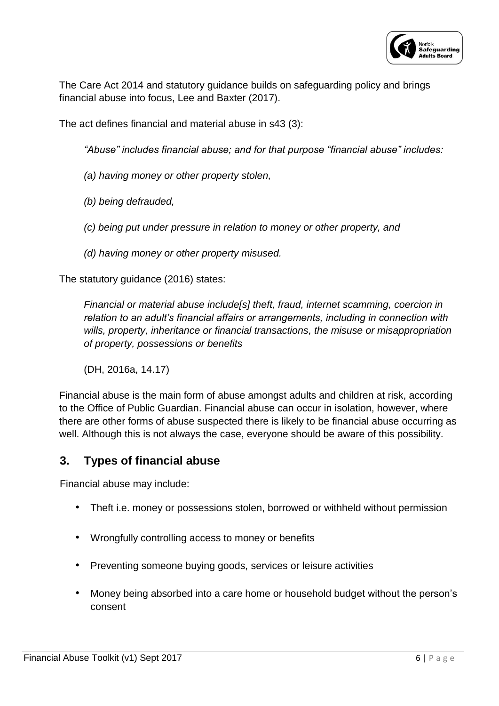

The Care Act 2014 and statutory guidance builds on safeguarding policy and brings financial abuse into focus, Lee and Baxter (2017).

The act defines financial and material abuse in s43 (3):

*"Abuse" includes financial abuse; and for that purpose "financial abuse" includes:*

- *(a) having money or other property stolen,*
- *(b) being defrauded,*
- *(c) being put under pressure in relation to money or other property, and*
- *(d) having money or other property misused.*

The statutory guidance (2016) states:

*Financial or material abuse include[s] theft, fraud, internet scamming, coercion in relation to an adult's financial affairs or arrangements, including in connection with wills, property, inheritance or financial transactions, the misuse or misappropriation of property, possessions or benefits*

(DH, 2016a, 14.17)

Financial abuse is the main form of abuse amongst adults and children at risk, according to the Office of Public Guardian. Financial abuse can occur in isolation, however, where there are other forms of abuse suspected there is likely to be financial abuse occurring as well. Although this is not always the case, everyone should be aware of this possibility.

## **3. Types of financial abuse**

Financial abuse may include:

- Theft i.e. money or possessions stolen, borrowed or withheld without permission
- Wrongfully controlling access to money or benefits
- Preventing someone buying goods, services or leisure activities
- Money being absorbed into a care home or household budget without the person's consent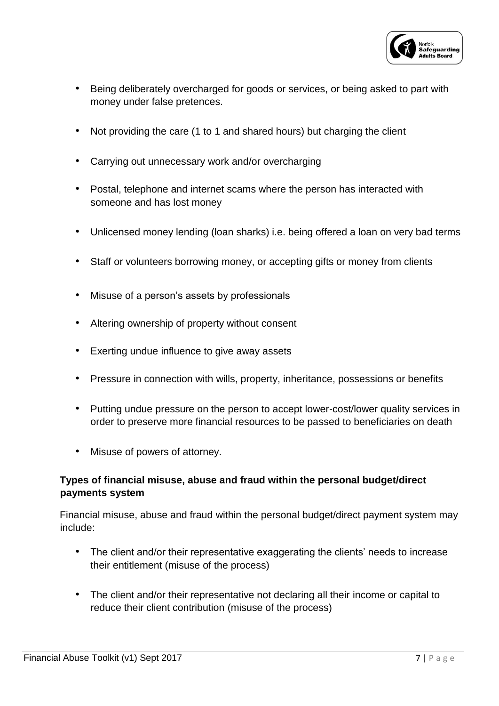

- Being deliberately overcharged for goods or services, or being asked to part with money under false pretences.
- Not providing the care (1 to 1 and shared hours) but charging the client
- Carrying out unnecessary work and/or overcharging
- Postal, telephone and internet scams where the person has interacted with someone and has lost money
- Unlicensed money lending (loan sharks) i.e. being offered a loan on very bad terms
- Staff or volunteers borrowing money, or accepting gifts or money from clients
- Misuse of a person's assets by professionals
- Altering ownership of property without consent
- Exerting undue influence to give away assets
- Pressure in connection with wills, property, inheritance, possessions or benefits
- Putting undue pressure on the person to accept lower-cost/lower quality services in order to preserve more financial resources to be passed to beneficiaries on death
- Misuse of powers of attorney.

#### **Types of financial misuse, abuse and fraud within the personal budget/direct payments system**

Financial misuse, abuse and fraud within the personal budget/direct payment system may include:

- The client and/or their representative exaggerating the clients' needs to increase their entitlement (misuse of the process)
- The client and/or their representative not declaring all their income or capital to reduce their client contribution (misuse of the process)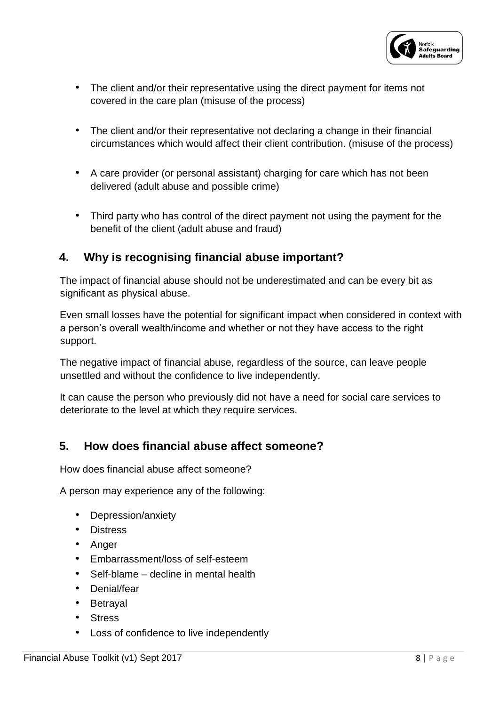

- The client and/or their representative using the direct payment for items not covered in the care plan (misuse of the process)
- The client and/or their representative not declaring a change in their financial circumstances which would affect their client contribution. (misuse of the process)
- A care provider (or personal assistant) charging for care which has not been delivered (adult abuse and possible crime)
- Third party who has control of the direct payment not using the payment for the benefit of the client (adult abuse and fraud)

## **4. Why is recognising financial abuse important?**

The impact of financial abuse should not be underestimated and can be every bit as significant as physical abuse.

Even small losses have the potential for significant impact when considered in context with a person's overall wealth/income and whether or not they have access to the right support.

The negative impact of financial abuse, regardless of the source, can leave people unsettled and without the confidence to live independently.

It can cause the person who previously did not have a need for social care services to deteriorate to the level at which they require services.

## **5. How does financial abuse affect someone?**

How does financial abuse affect someone?

A person may experience any of the following:

- Depression/anxiety
- Distress
- Anger
- Embarrassment/loss of self-esteem
- Self-blame decline in mental health
- Denial/fear
- Betrayal
- Stress
- Loss of confidence to live independently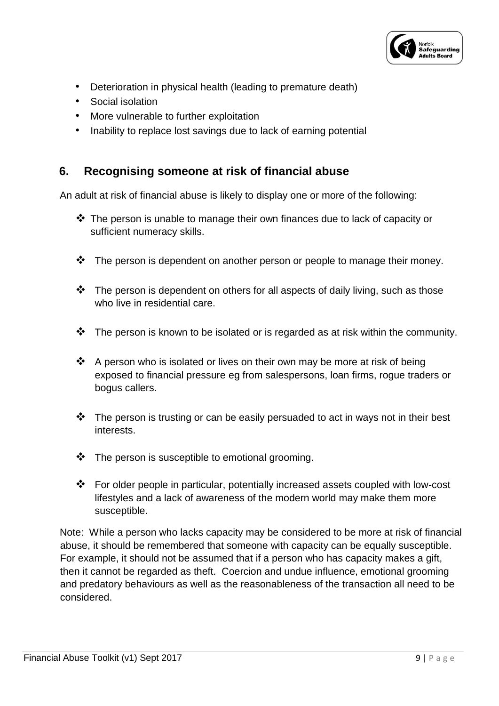

- Deterioration in physical health (leading to premature death)
- Social isolation
- More vulnerable to further exploitation
- Inability to replace lost savings due to lack of earning potential

## **6. Recognising someone at risk of financial abuse**

An adult at risk of financial abuse is likely to display one or more of the following:

- $\clubsuit$  The person is unable to manage their own finances due to lack of capacity or sufficient numeracy skills.
- $\cdot \cdot$  The person is dependent on another person or people to manage their money.
- $\cdot \cdot$  The person is dependent on others for all aspects of daily living, such as those who live in residential care.
- $\cdot \cdot$  The person is known to be isolated or is regarded as at risk within the community.
- $\clubsuit$  A person who is isolated or lives on their own may be more at risk of being exposed to financial pressure eg from salespersons, loan firms, rogue traders or bogus callers.
- $\mathbf{\hat{P}}$  The person is trusting or can be easily persuaded to act in ways not in their best interests.
- $\cdot \cdot$  The person is susceptible to emotional grooming.
- For older people in particular, potentially increased assets coupled with low-cost lifestyles and a lack of awareness of the modern world may make them more susceptible.

Note: While a person who lacks capacity may be considered to be more at risk of financial abuse, it should be remembered that someone with capacity can be equally susceptible. For example, it should not be assumed that if a person who has capacity makes a gift, then it cannot be regarded as theft. Coercion and undue influence, emotional grooming and predatory behaviours as well as the reasonableness of the transaction all need to be considered.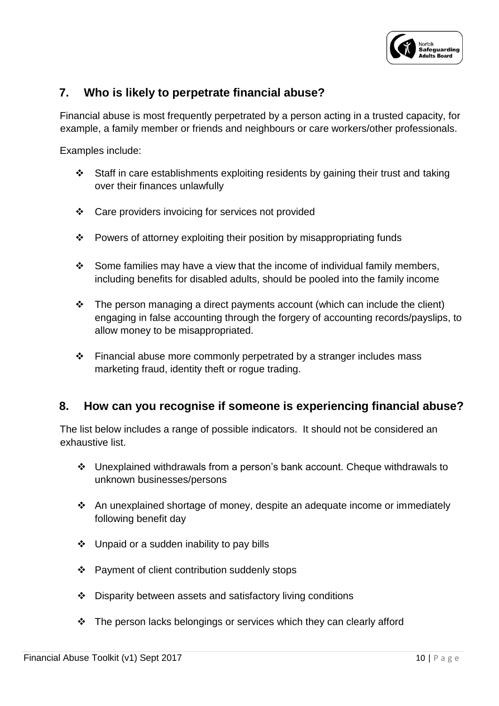

## **7. Who is likely to perpetrate financial abuse?**

Financial abuse is most frequently perpetrated by a person acting in a trusted capacity, for example, a family member or friends and neighbours or care workers/other professionals.

Examples include:

- $\div$  Staff in care establishments exploiting residents by gaining their trust and taking over their finances unlawfully
- Care providers invoicing for services not provided
- \* Powers of attorney exploiting their position by misappropriating funds
- \* Some families may have a view that the income of individual family members, including benefits for disabled adults, should be pooled into the family income
- $\cdot \cdot$  The person managing a direct payments account (which can include the client) engaging in false accounting through the forgery of accounting records/payslips, to allow money to be misappropriated.
- $\div$  Financial abuse more commonly perpetrated by a stranger includes mass marketing fraud, identity theft or rogue trading.

## **8. How can you recognise if someone is experiencing financial abuse?**

The list below includes a range of possible indicators. It should not be considered an exhaustive list.

- Unexplained withdrawals from a person's bank account. Cheque withdrawals to unknown businesses/persons
- \* An unexplained shortage of money, despite an adequate income or immediately following benefit day
- $\div$  Unpaid or a sudden inability to pay bills
- Payment of client contribution suddenly stops
- ❖ Disparity between assets and satisfactory living conditions
- $\div$  The person lacks belongings or services which they can clearly afford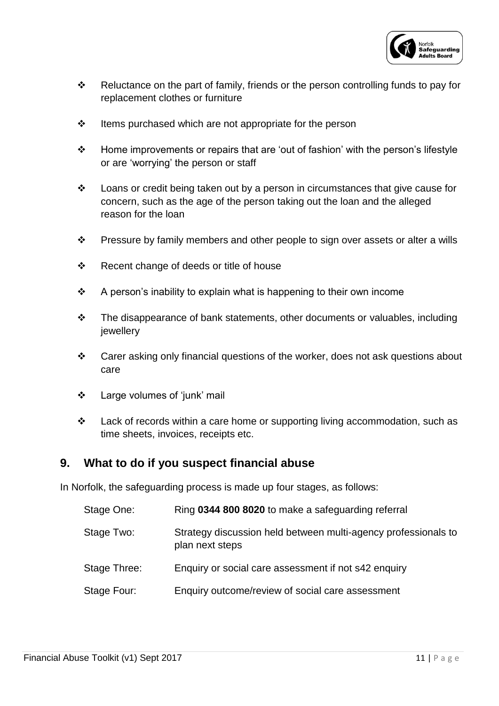

- \* Reluctance on the part of family, friends or the person controlling funds to pay for replacement clothes or furniture
- $\div$  Items purchased which are not appropriate for the person
- Home improvements or repairs that are 'out of fashion' with the person's lifestyle or are 'worrying' the person or staff
- Loans or credit being taken out by a person in circumstances that give cause for concern, such as the age of the person taking out the loan and the alleged reason for the loan
- \* Pressure by family members and other people to sign over assets or alter a wills
- ❖ Recent change of deeds or title of house
- $\div$  A person's inability to explain what is happening to their own income
- $\div$  The disappearance of bank statements, other documents or valuables, including jewellery
- \* Carer asking only financial questions of the worker, does not ask questions about care
- Large volumes of 'junk' mail
- $\div$  Lack of records within a care home or supporting living accommodation, such as time sheets, invoices, receipts etc.

#### **9. What to do if you suspect financial abuse**

In Norfolk, the safeguarding process is made up four stages, as follows:

| Stage One:   | Ring 0344 800 8020 to make a safeguarding referral                                |
|--------------|-----------------------------------------------------------------------------------|
| Stage Two:   | Strategy discussion held between multi-agency professionals to<br>plan next steps |
| Stage Three: | Enquiry or social care assessment if not s42 enquiry                              |
| Stage Four:  | Enquiry outcome/review of social care assessment                                  |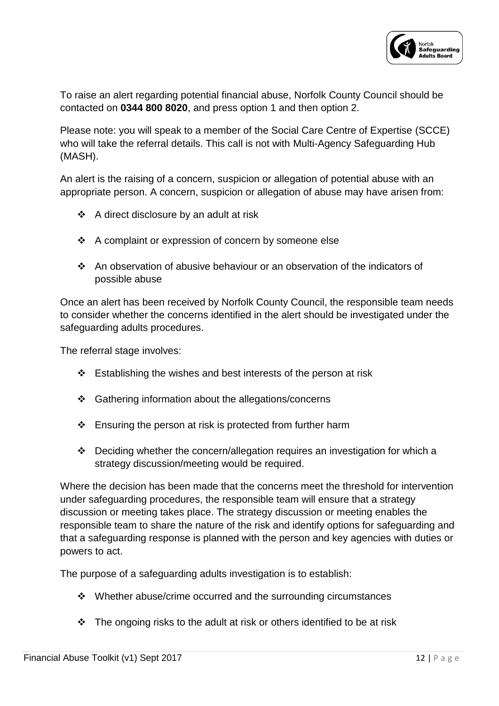

To raise an alert regarding potential financial abuse, Norfolk County Council should be contacted on **0344 800 8020**, and press option 1 and then option 2.

Please note: you will speak to a member of the Social Care Centre of Expertise (SCCE) who will take the referral details. This call is not with Multi-Agency Safeguarding Hub (MASH).

An alert is the raising of a concern, suspicion or allegation of potential abuse with an appropriate person. A concern, suspicion or allegation of abuse may have arisen from:

- $\triangleleft$  A direct disclosure by an adult at risk
- ❖ A complaint or expression of concern by someone else
- An observation of abusive behaviour or an observation of the indicators of possible abuse

Once an alert has been received by Norfolk County Council, the responsible team needs to consider whether the concerns identified in the alert should be investigated under the safeguarding adults procedures.

The referral stage involves:

- $\div$  Establishing the wishes and best interests of the person at risk
- Gathering information about the allegations/concerns
- $\div$  Ensuring the person at risk is protected from further harm
- $\div$  Deciding whether the concern/allegation requires an investigation for which a strategy discussion/meeting would be required.

Where the decision has been made that the concerns meet the threshold for intervention under safeguarding procedures, the responsible team will ensure that a strategy discussion or meeting takes place. The strategy discussion or meeting enables the responsible team to share the nature of the risk and identify options for safeguarding and that a safeguarding response is planned with the person and key agencies with duties or powers to act.

The purpose of a safeguarding adults investigation is to establish:

- $\cdot \cdot$  Whether abuse/crime occurred and the surrounding circumstances
- $\cdot \cdot$  The ongoing risks to the adult at risk or others identified to be at risk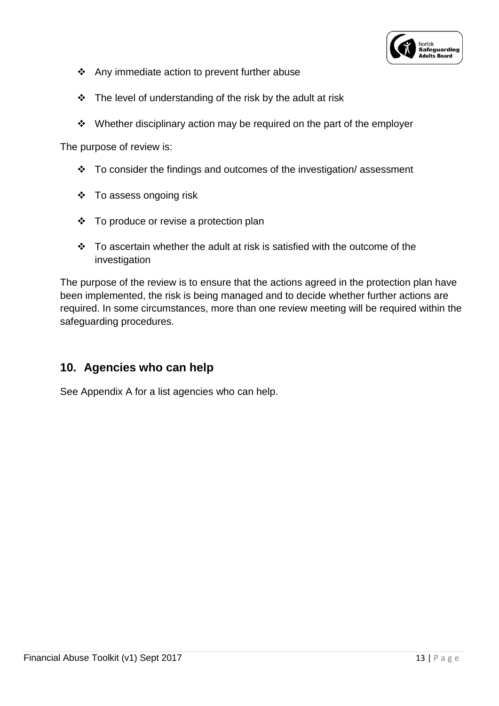

- Any immediate action to prevent further abuse
- $\div$  The level of understanding of the risk by the adult at risk
- Whether disciplinary action may be required on the part of the employer

The purpose of review is:

- $\cdot \cdot$  To consider the findings and outcomes of the investigation/ assessment
- $\div$  To assess ongoing risk
- To produce or revise a protection plan
- $\cdot \cdot$  To ascertain whether the adult at risk is satisfied with the outcome of the investigation

The purpose of the review is to ensure that the actions agreed in the protection plan have been implemented, the risk is being managed and to decide whether further actions are required. In some circumstances, more than one review meeting will be required within the safeguarding procedures.

## **10. Agencies who can help**

See Appendix A for a list agencies who can help.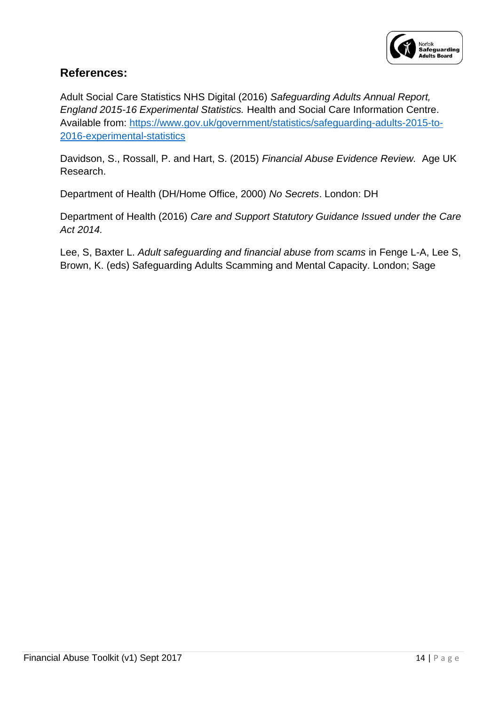

## **References:**

Adult Social Care Statistics NHS Digital (2016) *Safeguarding Adults Annual Report, England 2015-16 Experimental Statistics.* Health and Social Care Information Centre. Available from: [https://www.gov.uk/government/statistics/safeguarding-adults-2015-to-](https://www.gov.uk/government/statistics/safeguarding-adults-2015-to-2016-experimental-statistics)[2016-experimental-statistics](https://www.gov.uk/government/statistics/safeguarding-adults-2015-to-2016-experimental-statistics)

Davidson, S., Rossall, P. and Hart, S. (2015) *Financial Abuse Evidence Review.* Age UK Research.

Department of Health (DH/Home Office, 2000) *No Secrets*. London: DH

Department of Health (2016) *Care and Support Statutory Guidance Issued under the Care Act 2014.*

Lee, S, Baxter L. *Adult safeguarding and financial abuse from scams* in Fenge L-A, Lee S, Brown, K. (eds) Safeguarding Adults Scamming and Mental Capacity. London; Sage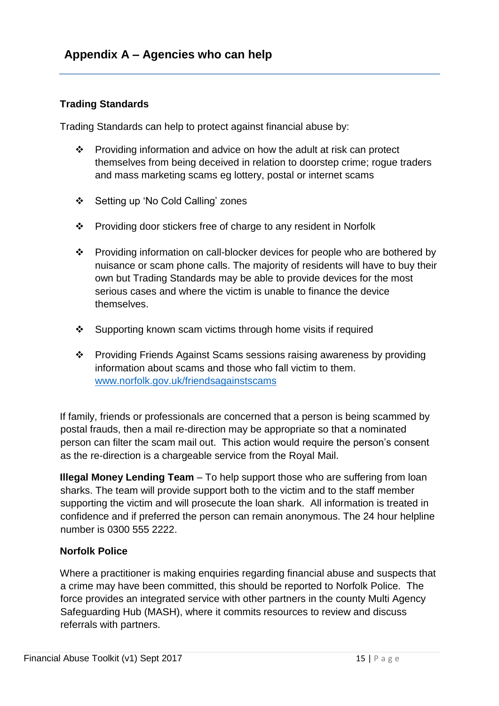#### **Trading Standards**

Trading Standards can help to protect against financial abuse by:

- $\div$  Providing information and advice on how the adult at risk can protect themselves from being deceived in relation to doorstep crime; rogue traders and mass marketing scams eg lottery, postal or internet scams
- Setting up 'No Cold Calling' zones
- Providing door stickers free of charge to any resident in Norfolk
- Providing information on call-blocker devices for people who are bothered by nuisance or scam phone calls. The majority of residents will have to buy their own but Trading Standards may be able to provide devices for the most serious cases and where the victim is unable to finance the device themselves.
- ❖ Supporting known scam victims through home visits if required
- Providing Friends Against Scams sessions raising awareness by providing information about scams and those who fall victim to them. [www.norfolk.gov.uk/friendsagainstscams](http://www.norfolk.gov.uk/friendsagainstscams)

If family, friends or professionals are concerned that a person is being scammed by postal frauds, then a mail re-direction may be appropriate so that a nominated person can filter the scam mail out. This action would require the person's consent as the re-direction is a chargeable service from the Royal Mail.

**Illegal Money Lending Team** – To help support those who are suffering from loan sharks. The team will provide support both to the victim and to the staff member supporting the victim and will prosecute the loan shark. All information is treated in confidence and if preferred the person can remain anonymous. The 24 hour helpline number is 0300 555 2222.

#### **Norfolk Police**

Where a practitioner is making enquiries regarding financial abuse and suspects that a crime may have been committed, this should be reported to Norfolk Police. The force provides an integrated service with other partners in the county Multi Agency Safeguarding Hub (MASH), where it commits resources to review and discuss referrals with partners.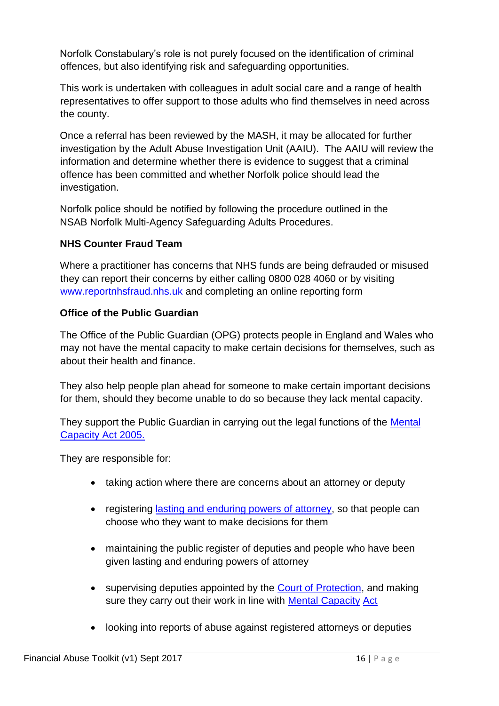Norfolk Constabulary's role is not purely focused on the identification of criminal offences, but also identifying risk and safeguarding opportunities.

This work is undertaken with colleagues in adult social care and a range of health representatives to offer support to those adults who find themselves in need across the county.

Once a referral has been reviewed by the MASH, it may be allocated for further investigation by the Adult Abuse Investigation Unit (AAIU). The AAIU will review the information and determine whether there is evidence to suggest that a criminal offence has been committed and whether Norfolk police should lead the investigation.

Norfolk police should be notified by following the procedure outlined in the NSAB Norfolk Multi-Agency Safeguarding Adults Procedures.

## **NHS Counter Fraud Team**

Where a practitioner has concerns that NHS funds are being defrauded or misused they can report their concerns by either calling 0800 028 4060 or by visiting [www.reportnhsfraud.nhs.uk](http://www.reportnhsfraud.nhs.uk/) [a](http://www.reportnhsfraud.nhs.uk/)nd completing an online reporting form

#### **Office of the Public Guardian**

The Office of the Public Guardian (OPG) protects people in England and Wales who may not have the mental capacity to make certain decisions for themselves, such as about their health and finance.

They also help people plan ahead for someone to make certain important decisions for them, should they become unable to do so because they lack mental capacity.

They support the Public Guardian in carrying out the legal functions of the Mental [Capacity Act 2005.](http://www.legislation.gov.uk/ukpga/2005/9/contents)

They are responsible for:

- taking action where there are concerns about an attorney or deputy
- registering [lasting and enduring powers of attorney,](https://www.gov.uk/power-of-attorney/overview) so that people can choose who they want to make decisions for them
- maintaining the public register of deputies and people who have been given lasting and enduring powers of attorney
- supervising deputies appointed by the [Court of Protection,](https://www.gov.uk/court-of-protection) and making sure they carry out their work in line with [Mental Capacity](http://www.legislation.gov.uk/ukpga/2005/9/contents) [Act](http://www.legislation.gov.uk/ukpga/2005/9/contents)
- looking into reports of abuse against registered attorneys or deputies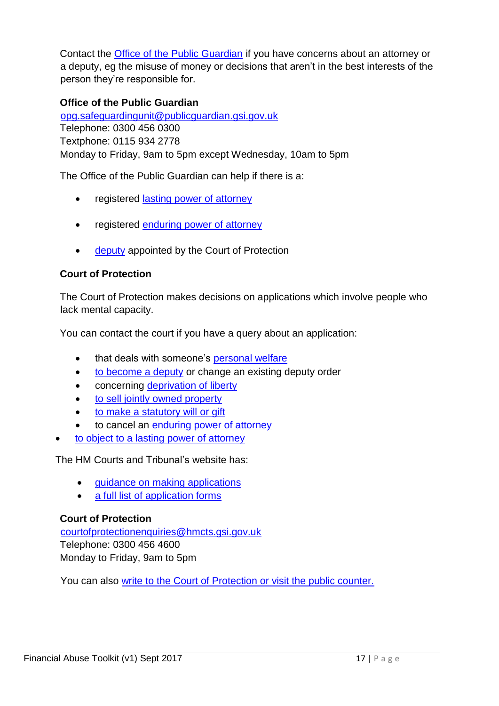Contact the [Office of the Public Guardian](https://www.gov.uk/office-of-public-guardian) if you have concerns about an attorney or a deputy, eg the misuse of money or decisions that aren't in the best interests of the person they're responsible for.

#### **Office of the Public Guardian**

opg.safeguardingunit@publicguardian.gsi.gov.uk Telephone: 0300 456 0300 Textphone: 0115 934 2778 Monday to Friday, 9am to 5pm except Wednesday, 10am to 5pm

The Office of the Public Guardian can help if there is a:

- registered [lasting power of attorney](https://www.gov.uk/power-of-attorney)
- registered [enduring power of attorney](https://www.gov.uk/enduring-power-attorney-duties)
- [deputy](https://www.gov.uk/become-deputy) appointed by the Court of Protection

#### **Court of Protection**

The Court of Protection makes decisions on applications which involve people who lack mental capacity.

You can contact the court if you have a query about an application:

- that deals with someone's [personal welfare](http://hmctsformfinder.justice.gov.uk/HMCTS/GetLeaflet.do?court_leaflets_id=2775)
- [to become a deputy](https://www.gov.uk/become-deputy) [o](https://www.gov.uk/become-deputy)r change an existing deputy order
- concerning [deprivation of liberty](http://www.judiciary.gov.uk/publications/10aa-deprivation-of-liberty/)
- [to sell jointly owned property](http://hmctsformfinder.justice.gov.uk/HMCTS/GetLeaflet.do?court_leaflets_id=2773)
- [to make a statutory will or gift](http://hmctsformfinder.justice.gov.uk/HMCTS/GetLeaflet.do?court_leaflets_id=2779)
- to cancel an [enduring power of attorney](https://www.gov.uk/use-or-cancel-an-enduring-power-of-attorney)
- [to object to a lasting power of attorney](https://www.gov.uk/object-registration)

The HM Courts and Tribunal's website has:

- [guidance on making applications](http://hmctsformfinder.justice.gov.uk/courtfinder/forms/cop042-eng.pdf)
- [a full list of application forms](http://hmctsformfinder.justice.gov.uk/HMCTS/GetForms.do?court_forms_category=court_of_protection)

#### **Court of Protection**

courtofprotectionenquiries@hmcts.gsi.gov.uk Telephone: 0300 456 4600 Monday to Friday, 9am to 5pm

You can also [write to the Court of Protection or visit the public counter.](https://courttribunalfinder.service.gov.uk/courts/court-of-protection)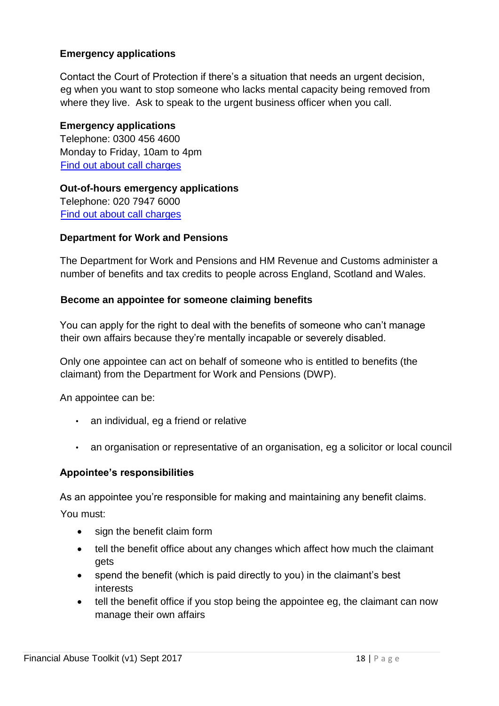#### **Emergency applications**

Contact the Court of Protection if there's a situation that needs an urgent decision, eg when you want to stop someone who lacks mental capacity being removed from where they live. Ask to speak to the urgent business officer when you call.

#### **Emergency applications**

Telephone: 0300 456 4600 Monday to Friday, 10am to 4pm [Find out about call charges](https://www.gov.uk/call-charges)

**Out-of-hours emergency applications** Telephone: 020 7947 6000 [Find out about call charges](https://www.gov.uk/call-charges)

#### **Department for Work and Pensions**

The Department for Work and Pensions and HM Revenue and Customs administer a number of benefits and tax credits to people across England, Scotland and Wales.

#### **Become an appointee for someone claiming benefits**

You can apply for the right to deal with the benefits of someone who can't manage their own affairs because they're mentally incapable or severely disabled.

Only one appointee can act on behalf of someone who is entitled to benefits (the claimant) from the Department for Work and Pensions (DWP).

An appointee can be:

- an individual, eg a friend or relative
- an organisation or representative of an organisation, eg a solicitor or local council

#### **Appointee's responsibilities**

As an appointee you're responsible for making and maintaining any benefit claims.

You must:

- sign the benefit claim form
- tell the benefit office about any changes which affect how much the claimant gets
- spend the benefit (which is paid directly to you) in the claimant's best interests
- tell the benefit office if you stop being the appointee eg, the claimant can now manage their own affairs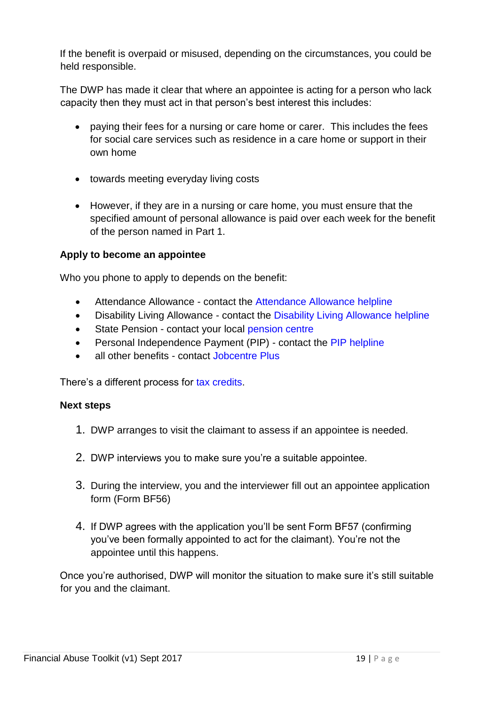If the benefit is overpaid or misused, depending on the circumstances, you could be held responsible.

The DWP has made it clear that where an appointee is acting for a person who lack capacity then they must act in that person's best interest this includes:

- paying their fees for a nursing or care home or carer. This includes the fees for social care services such as residence in a care home or support in their own home
- towards meeting everyday living costs
- However, if they are in a nursing or care home, you must ensure that the specified amount of personal allowance is paid over each week for the benefit of the person named in Part 1.

#### **Apply to become an appointee**

Who you phone to apply to depends on the benefit:

- Attendance Allowance contact the [Attendance Allowance helpline](https://www.gov.uk/disability-benefits-helpline)
- • [Disability Living Allowance](https://www.gov.uk/disability-benefits-helpline) contact th[e](https://www.gov.uk/disability-benefits-helpline) Disability Living Allowance helpline
- State Pension contact your local [pension centre](https://www.gov.uk/find-pension-centre)
- Personal Independence Payment (PIP) contact the [PIP helpl](https://www.gov.uk/pip/how-to-claim)ine
- all other benefits contact [Jobcentre Plus](https://www.gov.uk/contact-jobcentre-plus)

There's a different process for [tax credits.](https://www.gov.uk/getting-help-with-your-tax-credits-claim/appointees)

#### **Next steps**

- 1. DWP arranges to visit the claimant to assess if an appointee is needed.
- 2. DWP interviews you to make sure you're a suitable appointee.
- 3. During the interview, you and the interviewer fill out an appointee application form (Form BF56)
- 4. If DWP agrees with the application you'll be sent Form BF57 (confirming you've been formally appointed to act for the claimant). You're not the appointee until this happens.

Once you're authorised, DWP will monitor the situation to make sure it's still suitable for you and the claimant.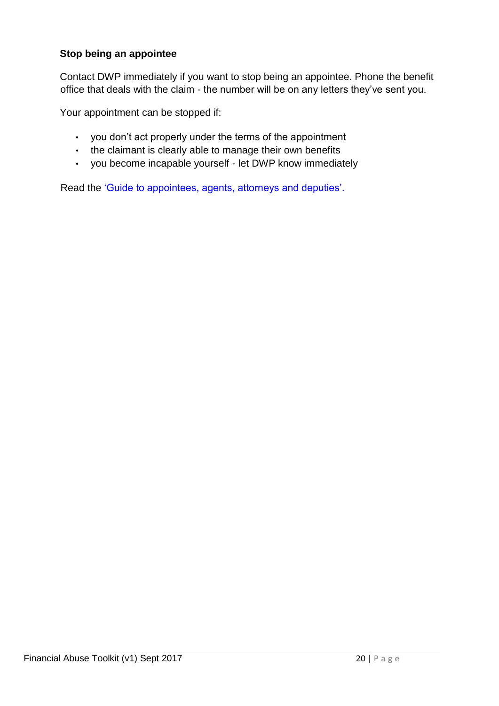#### **Stop being an appointee**

Contact DWP immediately if you want to stop being an appointee. Phone the benefit office that deals with the claim - the number will be on any letters they've sent you.

Your appointment can be stopped if:

- you don't act properly under the terms of the appointment
- the claimant is clearly able to manage their own benefits
- you become incapable yourself let DWP know immediately

Read the ['Guide to appointees, agents, attorneys and deputies'.](http://www.dwp.gov.uk/publications/specialist-guides/agents-appointees-attorneys)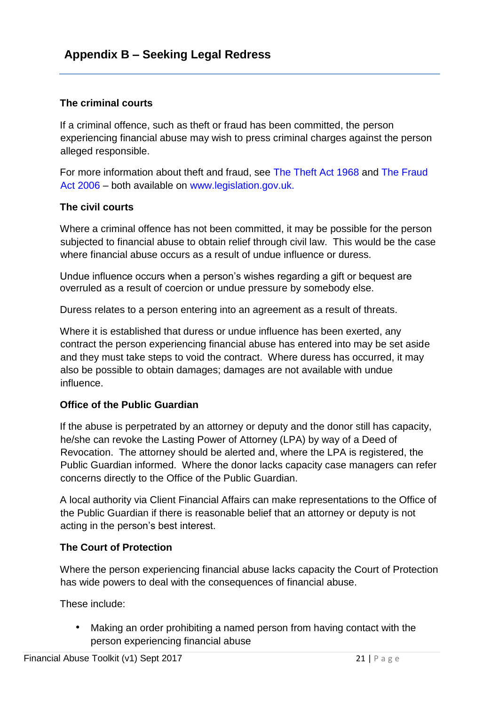#### **The criminal courts**

If a criminal offence, such as theft or fraud has been committed, the person experiencing financial abuse may wish to press criminal charges against the person alleged responsible.

For more information about theft and fraud, see [The Theft Act 1968](http://www.legislation.gov.uk/ukpga/1968/60/contents) and [The Fraud](http://www.legislation.gov.uk/ukpga/2006/35/contents)  [Act 2006](http://www.legislation.gov.uk/ukpga/2006/35/contents) – both available on [www.legislation.gov.uk.](http://www.legislation.gov.uk/)

#### **The civil courts**

Where a criminal offence has not been committed, it may be possible for the person subjected to financial abuse to obtain relief through civil law. This would be the case where financial abuse occurs as a result of undue influence or duress.

Undue influence occurs when a person's wishes regarding a gift or bequest are overruled as a result of coercion or undue pressure by somebody else.

Duress relates to a person entering into an agreement as a result of threats.

Where it is established that duress or undue influence has been exerted, any contract the person experiencing financial abuse has entered into may be set aside and they must take steps to void the contract. Where duress has occurred, it may also be possible to obtain damages; damages are not available with undue influence.

#### **Office of the Public Guardian**

If the abuse is perpetrated by an attorney or deputy and the donor still has capacity, he/she can revoke the Lasting Power of Attorney (LPA) by way of a Deed of Revocation. The attorney should be alerted and, where the LPA is registered, the Public Guardian informed. Where the donor lacks capacity case managers can refer concerns directly to the Office of the Public Guardian.

A local authority via Client Financial Affairs can make representations to the Office of the Public Guardian if there is reasonable belief that an attorney or deputy is not acting in the person's best interest.

#### **The Court of Protection**

Where the person experiencing financial abuse lacks capacity the Court of Protection has wide powers to deal with the consequences of financial abuse.

These include:

• Making an order prohibiting a named person from having contact with the person experiencing financial abuse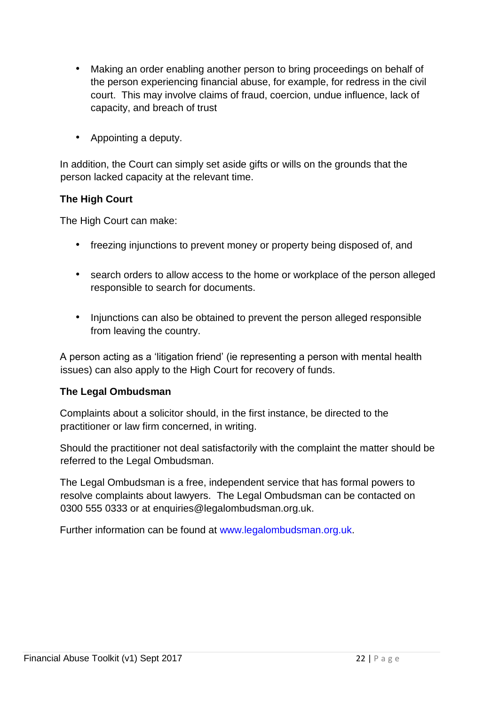- Making an order enabling another person to bring proceedings on behalf of the person experiencing financial abuse, for example, for redress in the civil court. This may involve claims of fraud, coercion, undue influence, lack of capacity, and breach of trust
- Appointing a deputy.

In addition, the Court can simply set aside gifts or wills on the grounds that the person lacked capacity at the relevant time.

#### **The High Court**

The High Court can make:

- freezing injunctions to prevent money or property being disposed of, and
- search orders to allow access to the home or workplace of the person alleged responsible to search for documents.
- Injunctions can also be obtained to prevent the person alleged responsible from leaving the country.

A person acting as a 'litigation friend' (ie representing a person with mental health issues) can also apply to the High Court for recovery of funds.

#### **The Legal Ombudsman**

Complaints about a solicitor should, in the first instance, be directed to the practitioner or law firm concerned, in writing.

Should the practitioner not deal satisfactorily with the complaint the matter should be referred to the Legal Ombudsman.

The Legal Ombudsman is a free, independent service that has formal powers to resolve complaints about lawyers. The Legal Ombudsman can be contacted on 0300 555 0333 or at enquiries@legalombudsman.org.uk.

Further information can be found at [www.legalombudsman.org.uk.](http://www.legalombudsman.org.uk/)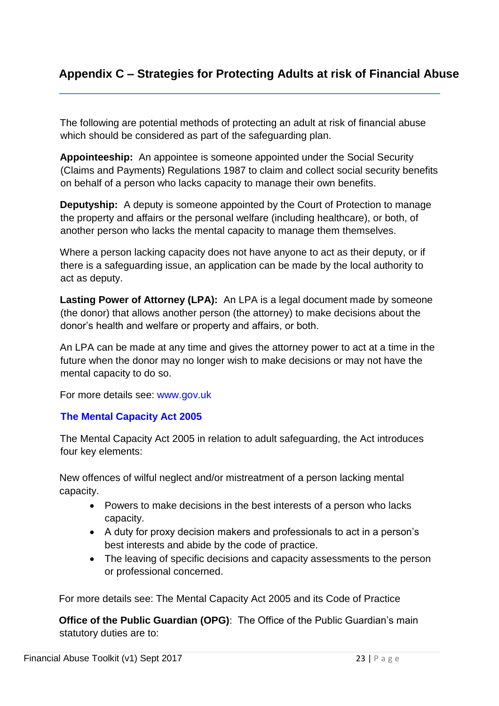## **Appendix C – Strategies for Protecting Adults at risk of Financial Abuse**

The following are potential methods of protecting an adult at risk of financial abuse which should be considered as part of the safeguarding plan.

**Appointeeship:** An appointee is someone appointed under the Social Security (Claims and Payments) Regulations 1987 to claim and collect social security benefits on behalf of a person who lacks capacity to manage their own benefits.

**Deputyship:** A deputy is someone appointed by the Court of Protection to manage the property and affairs or the personal welfare (including healthcare), or both, of another person who lacks the mental capacity to manage them themselves.

Where a person lacking capacity does not have anyone to act as their deputy, or if there is a safeguarding issue, an application can be made by the local authority to act as deputy.

**Lasting Power of Attorney (LPA):** An LPA is a legal document made by someone (the donor) that allows another person (the attorney) to make decisions about the donor's health and welfare or property and affairs, or both.

An LPA can be made at any time and gives the attorney power to act at a time in the future when the donor may no longer wish to make decisions or may not have the mental capacity to do so.

For more details see: [www.gov.uk](https://www.gov.uk/power-of-attorney/overview)

#### **The Mental Capacity Act 2005**

The Mental Capacity Act 2005 in relation to adult safeguarding, the Act introduces four key elements:

New offences of wilful neglect and/or mistreatment of a person lacking mental capacity.

- Powers to make decisions in the best interests of a person who lacks capacity.
- A duty for proxy decision makers and professionals to act in a person's best interests and abide by the code of practice.
- The leaving of specific decisions and capacity assessments to the person or professional concerned.

For more details see: The Mental Capacity Act 2005 and its Code of Practice

**Office of the Public Guardian (OPG)**: The Office of the Public Guardian's main statutory duties are to: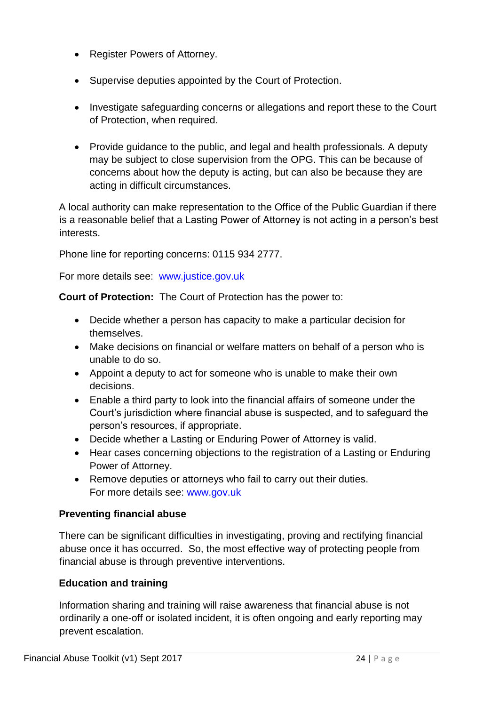- Register Powers of Attorney.
- Supervise deputies appointed by the Court of Protection.
- Investigate safeguarding concerns or allegations and report these to the Court of Protection, when required.
- Provide guidance to the public, and legal and health professionals. A deputy may be subject to close supervision from the OPG. This can be because of concerns about how the deputy is acting, but can also be because they are acting in difficult circumstances.

A local authority can make representation to the Office of the Public Guardian if there is a reasonable belief that a Lasting Power of Attorney is not acting in a person's best interests.

Phone line for reporting concerns: 0115 934 2777.

For more details see: [www.justice.gov.uk](http://www.justice.gov.uk/about/opg)

**Court of Protection:** The Court of Protection has the power to:

- Decide whether a person has capacity to make a particular decision for themselves.
- Make decisions on financial or welfare matters on behalf of a person who is unable to do so.
- Appoint a deputy to act for someone who is unable to make their own decisions.
- Enable a third party to look into the financial affairs of someone under the Court's jurisdiction where financial abuse is suspected, and to safeguard the person's resources, if appropriate.
- Decide whether a Lasting or Enduring Power of Attorney is valid.
- Hear cases concerning objections to the registration of a Lasting or Enduring Power of Attorney.
- Remove deputies or attorneys who fail to carry out their duties. For more details see: [www.gov.uk](https://www.gov.uk/court-of-protection)

## **Preventing financial abuse**

There can be significant difficulties in investigating, proving and rectifying financial abuse once it has occurred. So, the most effective way of protecting people from financial abuse is through preventive interventions.

## **Education and training**

Information sharing and training will raise awareness that financial abuse is not ordinarily a one-off or isolated incident, it is often ongoing and early reporting may prevent escalation.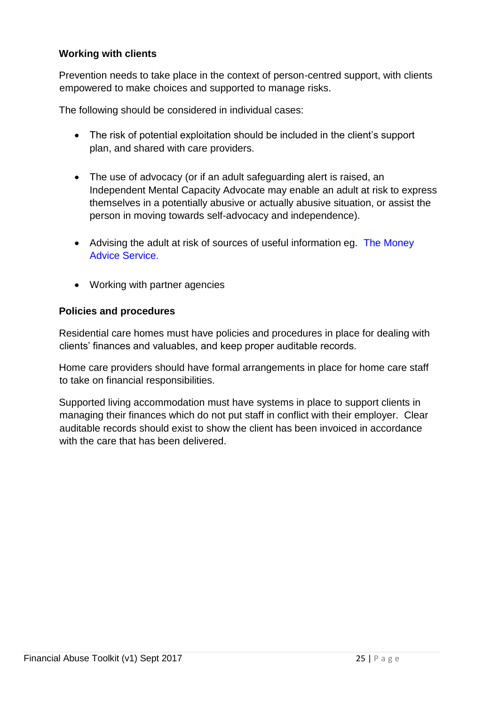#### **Working with clients**

Prevention needs to take place in the context of person-centred support, with clients empowered to make choices and supported to manage risks.

The following should be considered in individual cases:

- The risk of potential exploitation should be included in the client's support plan, and shared with care providers.
- The use of advocacy (or if an adult safeguarding alert is raised, an Independent Mental Capacity Advocate may enable an adult at risk to express themselves in a potentially abusive or actually abusive situation, or assist the person in moving towards self-advocacy and independence).
- Advising the adult at risk of sources of useful information eg. The Money [Advice Service.](https://www.moneyadviceservice.org.uk/)
- Working with partner agencies

#### **Policies and procedures**

Residential care homes must have policies and procedures in place for dealing with clients' finances and valuables, and keep proper auditable records.

Home care providers should have formal arrangements in place for home care staff to take on financial responsibilities.

Supported living accommodation must have systems in place to support clients in managing their finances which do not put staff in conflict with their employer. Clear auditable records should exist to show the client has been invoiced in accordance with the care that has been delivered.